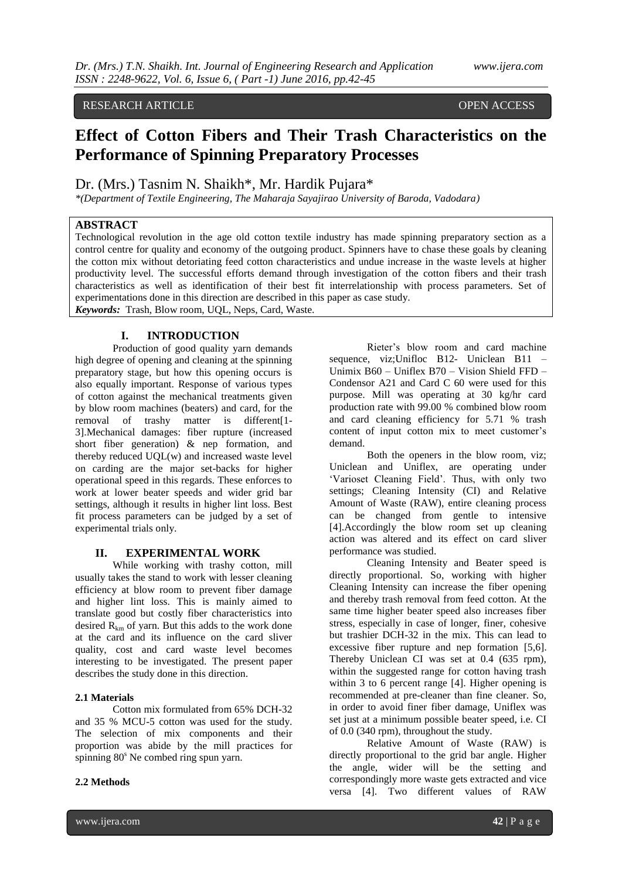## RESEARCH ARTICLE **CONSERVANCE OPEN ACCESS**

# **Effect of Cotton Fibers and Their Trash Characteristics on the Performance of Spinning Preparatory Processes**

Dr. (Mrs.) Tasnim N. Shaikh\*, Mr. Hardik Pujara\*

*\*(Department of Textile Engineering, The Maharaja Sayajirao University of Baroda, Vadodara)*

## **ABSTRACT**

Technological revolution in the age old cotton textile industry has made spinning preparatory section as a control centre for quality and economy of the outgoing product. Spinners have to chase these goals by cleaning the cotton mix without detoriating feed cotton characteristics and undue increase in the waste levels at higher productivity level. The successful efforts demand through investigation of the cotton fibers and their trash characteristics as well as identification of their best fit interrelationship with process parameters. Set of experimentations done in this direction are described in this paper as case study. *Keywords:* Trash, Blow room, UQL, Neps, Card, Waste.

# **I. INTRODUCTION**

Production of good quality yarn demands high degree of opening and cleaning at the spinning preparatory stage, but how this opening occurs is also equally important. Response of various types of cotton against the mechanical treatments given by blow room machines (beaters) and card, for the removal of trashy matter is different[1- 3].Mechanical damages: fiber rupture (increased short fiber generation) & nep formation, and thereby reduced UQL(w) and increased waste level on carding are the major set-backs for higher operational speed in this regards. These enforces to work at lower beater speeds and wider grid bar settings, although it results in higher lint loss. Best fit process parameters can be judged by a set of experimental trials only.

#### **II. EXPERIMENTAL WORK**

While working with trashy cotton, mill usually takes the stand to work with lesser cleaning efficiency at blow room to prevent fiber damage and higher lint loss. This is mainly aimed to translate good but costly fiber characteristics into desired  $R_{km}$  of yarn. But this adds to the work done at the card and its influence on the card sliver quality, cost and card waste level becomes interesting to be investigated. The present paper describes the study done in this direction.

#### **2.1 Materials**

Cotton mix formulated from 65% DCH-32 and 35 % MCU-5 cotton was used for the study. The selection of mix components and their proportion was abide by the mill practices for spinning 80<sup>s</sup> Ne combed ring spun yarn.

#### **2.2 Methods**

Rieter's blow room and card machine sequence, viz;Unifloc B12- Uniclean B11 – Unimix B60 – Uniflex B70 – Vision Shield FFD – Condensor A21 and Card C 60 were used for this purpose. Mill was operating at 30 kg/hr card production rate with 99.00 % combined blow room and card cleaning efficiency for 5.71 % trash content of input cotton mix to meet customer's demand.

Both the openers in the blow room, viz; Uniclean and Uniflex, are operating under 'Varioset Cleaning Field'. Thus, with only two settings; Cleaning Intensity (CI) and Relative Amount of Waste (RAW), entire cleaning process can be changed from gentle to intensive [4].Accordingly the blow room set up cleaning action was altered and its effect on card sliver performance was studied.

Cleaning Intensity and Beater speed is directly proportional. So, working with higher Cleaning Intensity can increase the fiber opening and thereby trash removal from feed cotton. At the same time higher beater speed also increases fiber stress, especially in case of longer, finer, cohesive but trashier DCH-32 in the mix. This can lead to excessive fiber rupture and nep formation [5,6]. Thereby Uniclean CI was set at 0.4 (635 rpm), within the suggested range for cotton having trash within 3 to 6 percent range [4]. Higher opening is recommended at pre-cleaner than fine cleaner. So, in order to avoid finer fiber damage, Uniflex was set just at a minimum possible beater speed, i.e. CI of 0.0 (340 rpm), throughout the study.

Relative Amount of Waste (RAW) is directly proportional to the grid bar angle. Higher the angle, wider will be the setting and correspondingly more waste gets extracted and vice versa [4]. Two different values of RAW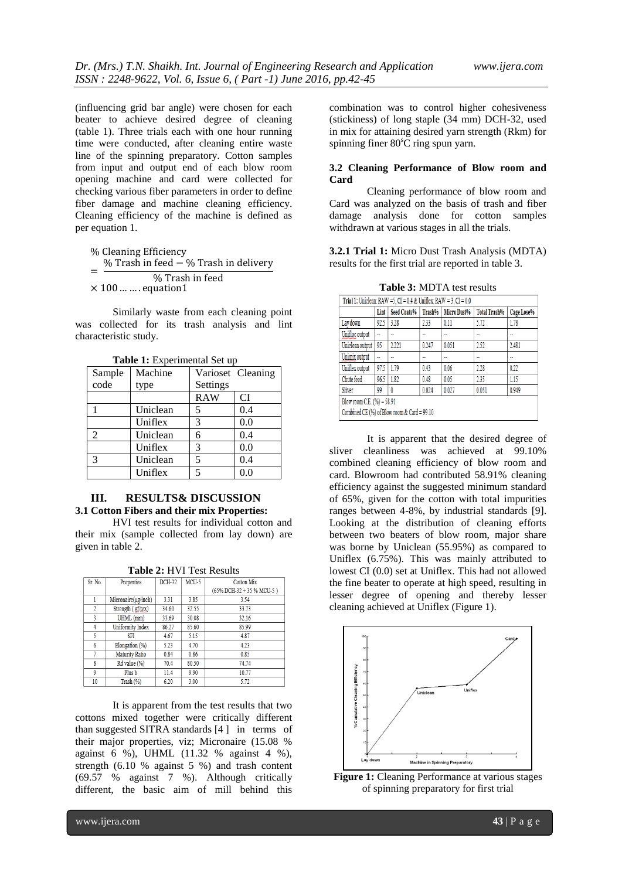(influencing grid bar angle) were chosen for each beater to achieve desired degree of cleaning (table 1). Three trials each with one hour running time were conducted, after cleaning entire waste line of the spinning preparatory. Cotton samples from input and output end of each blow room opening machine and card were collected for checking various fiber parameters in order to define fiber damage and machine cleaning efficiency. Cleaning efficiency of the machine is defined as per equation 1.

% Cleaning Efficiency  $=$ % Trash in feed  $-$  % Trash in delivery % Trash in feed  $\times$  100 ... ... equation1

Similarly waste from each cleaning point was collected for its trash analysis and lint characteristic study.

| Sample | Machine  |            | Varioset Cleaning |  |  |  |  |  |
|--------|----------|------------|-------------------|--|--|--|--|--|
| code   | type     | Settings   |                   |  |  |  |  |  |
|        |          | <b>RAW</b> | CI                |  |  |  |  |  |
|        | Uniclean | 5          | 0.4               |  |  |  |  |  |
|        | Uniflex  | 3          | 0.0               |  |  |  |  |  |
| 2      | Uniclean | 6          | 0.4               |  |  |  |  |  |
|        | Uniflex  | 3          | 0.0               |  |  |  |  |  |
| 3      | Uniclean | 5          | 0.4               |  |  |  |  |  |
|        | Uniflex  | 5          | 0.0               |  |  |  |  |  |

**Table 1:** Experimental Set up

#### **III. RESULTS& DISCUSSION 3.1 Cotton Fibers and their mix Properties:**

HVI test results for individual cotton and their mix (sample collected from lay down) are given in table 2.

| <b>Table 2: HVI Test Results</b> |  |  |
|----------------------------------|--|--|
|----------------------------------|--|--|

| Sr. No.        | Properties            | <b>DCH-32</b> | $MCU-5$ | <b>Cotton Mix</b>            |  |  |  |  |  |
|----------------|-----------------------|---------------|---------|------------------------------|--|--|--|--|--|
|                |                       |               |         | $(65\%$ DCH-32 + 35 % MCU-5) |  |  |  |  |  |
|                | Micronaire(µg/inch)   | 3.31          | 3.85    | 3.54                         |  |  |  |  |  |
| $\overline{2}$ | Strength (gf/tex)     | 34.60         | 32.55   | 33.73                        |  |  |  |  |  |
| 3              | UHML (mm)             | 33.69         | 30.08   | 32.16                        |  |  |  |  |  |
| 4              | Uniformity Index      | 86.27         | 85.60   | 85.99                        |  |  |  |  |  |
| 5              | <b>SFI</b>            | 4.67          | 5.15    | 4.87                         |  |  |  |  |  |
| 6              | Elongation (%)        | 5.23          | 4.70    | 4.23                         |  |  |  |  |  |
|                | <b>Maturity Ratio</b> | 0.84          | 0.86    | 0.85                         |  |  |  |  |  |
| 8              | Rd value (%)          | 70.4          | 80.50   | 74.74                        |  |  |  |  |  |
| 9              | Plus b                | 11.4          | 990     | 10.77                        |  |  |  |  |  |
| 10             | Trash (%)             | 6.20          | 3.00    | 5.72                         |  |  |  |  |  |

It is apparent from the test results that two cottons mixed together were critically different than suggested SITRA standards [4 ] in terms of their major properties, viz; Micronaire (15.08 % against 6 %), UHML (11.32 % against 4 %), strength (6.10 % against 5 %) and trash content (69.57 % against 7 %). Although critically different, the basic aim of mill behind this

combination was to control higher cohesiveness (stickiness) of long staple (34 mm) DCH-32, used in mix for attaining desired yarn strength (Rkm) for spinning finer  $80^{\circ}$ C ring spun yarn.

#### **3.2 Cleaning Performance of Blow room and Card**

Cleaning performance of blow room and Card was analyzed on the basis of trash and fiber damage analysis done for cotton samples withdrawn at various stages in all the trials.

**3.2.1 Trial 1:** Micro Dust Trash Analysis (MDTA) results for the first trial are reported in table 3.

**Table 3:** MDTA test results

| Trial 1: Uniclean: RAW = 5, CI = $0.4$ & Uniflex: RAW = $3$ , CI = $0.0$ |                |                |        |                          |                     |            |  |  |  |
|--------------------------------------------------------------------------|----------------|----------------|--------|--------------------------|---------------------|------------|--|--|--|
|                                                                          | Lint           | Seed Coats%    | Trash% | Micro Dust%              | <b>Total Trash%</b> | Cage Lose% |  |  |  |
| Lay down                                                                 | 92.5           | 3.28           | 2.33   | 0.11                     | 5.72                | 1.78       |  |  |  |
| Unifloc output                                                           | $\overline{a}$ | $\overline{a}$ | --     | $\overline{\phantom{a}}$ | --                  | --         |  |  |  |
| Uniclean output                                                          | 95             | 2.221          | 0.247  | 0.051                    | 2.52                | 2.481      |  |  |  |
| Unimix output                                                            | $\overline{a}$ | ٠.             | --     | ۰.                       | ٠.                  | ٠.         |  |  |  |
| Uniflex output                                                           | 97.5           | 179            | 0.43   | 0.06                     | 2.28                | 0.22       |  |  |  |
| Chute feed                                                               | 96.5           | 1.82           | 0.48   | 0.05                     | 235                 | 1.15       |  |  |  |
| Sliver<br>0.027<br>0.051<br>0.949<br>99<br>0.024<br>0                    |                |                |        |                          |                     |            |  |  |  |
| Blow room C.E. (%) = 58.91                                               |                |                |        |                          |                     |            |  |  |  |
| Combined CE (%) of Blow room & Card = 99.10                              |                |                |        |                          |                     |            |  |  |  |

It is apparent that the desired degree of sliver cleanliness was achieved at 99.10% combined cleaning efficiency of blow room and card. Blowroom had contributed 58.91% cleaning efficiency against the suggested minimum standard of 65%, given for the cotton with total impurities ranges between 4-8%, by industrial standards [9]. Looking at the distribution of cleaning efforts between two beaters of blow room, major share was borne by Uniclean (55.95%) as compared to Uniflex (6.75%). This was mainly attributed to lowest CI (0.0) set at Uniflex. This had not allowed the fine beater to operate at high speed, resulting in lesser degree of opening and thereby lesser cleaning achieved at Uniflex (Figure 1).



**Figure 1:** Cleaning Performance at various stages of spinning preparatory for first trial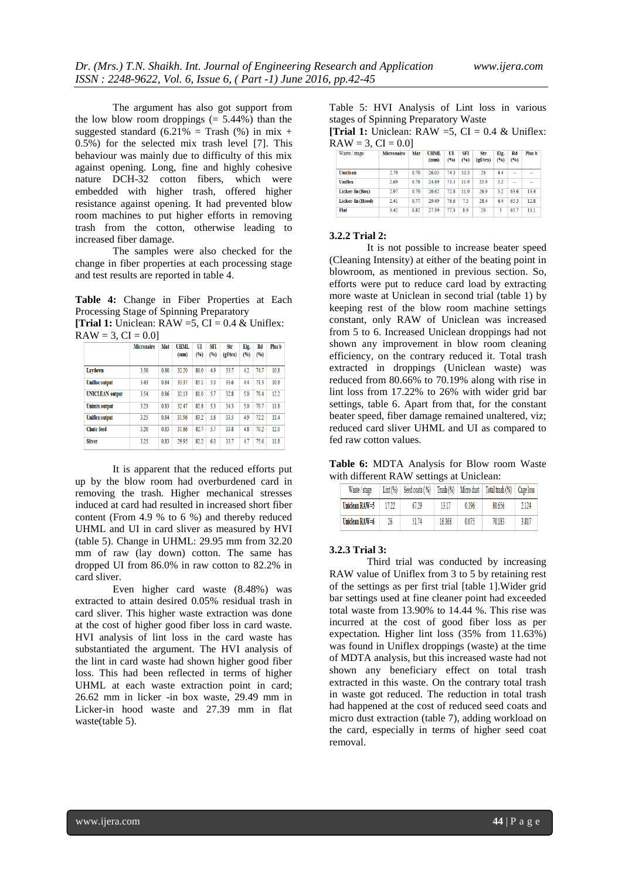The argument has also got support from the low blow room droppings  $(= 5.44\%)$  than the suggested standard (6.21% = Trash (%) in mix + 0.5%) for the selected mix trash level [7]. This behaviour was mainly due to difficulty of this mix against opening. Long, fine and highly cohesive nature DCH-32 cotton fibers, which were embedded with higher trash, offered higher resistance against opening. It had prevented blow room machines to put higher efforts in removing trash from the cotton, otherwise leading to increased fiber damage.

The samples were also checked for the change in fiber properties at each processing stage and test results are reported in table 4.

**Table 4:** Change in Fiber Properties at Each Processing Stage of Spinning Preparatory

**[Trial 1:** Uniclean:  $\text{RAW} = 5$ ,  $\text{CI} = 0.4$  & Uniflex:  $RAW = 3, CI = 0.0$ ]

|                        | <b>Micronaire</b> | Mat  | <b>UHML</b><br>(mm) | UI<br>(96) | SFT<br>(96) | Str<br>(gf/teX) | Elg.<br>(96) | Rd<br>(96) | Plus b |
|------------------------|-------------------|------|---------------------|------------|-------------|-----------------|--------------|------------|--------|
| Laydown                | 3.50              | 0.80 | 32.20               | 86.0       | 4.9         | 33.7            | 4.2          | 74.7       | 10.8   |
| <b>Unifloc</b> output  | 3.43              | 0.84 | 33.37               | 85.1       | 5.0         | 33.6            | 4.4          | 713        | 10.8   |
| <b>UNICLEAN</b> output | 3.54              | 086  | 32.13               | 810        | 57          | 328             | 50           | 704        | 12.2   |
| <b>Unimix output</b>   | 3.23              | 0.83 | 32.47               | 828        | 53          | 343             | 5.0          | 70.7       | 11.8   |
| <b>Uniflex output</b>  | 3.25              | 0.84 | 31.96               | 83.2       | 5.6         | 33.5            | 4.9          | 72.2       | 11.4   |
| <b>Chute feed</b>      | 3.20              | 0.83 | 31.86               | 82.7       | 5.7         | 33.8            | 4.8          | 70.2       | 12.0   |
| <b>Sliver</b>          | 325               | 0.83 | 2995                | 82.2       | 60          | 337             | 47           | 756        | 11.8   |

It is apparent that the reduced efforts put up by the blow room had overburdened card in removing the trash. Higher mechanical stresses induced at card had resulted in increased short fiber content (From 4.9 % to 6 %) and thereby reduced UHML and UI in card sliver as measured by HVI (table 5). Change in UHML: 29.95 mm from 32.20 mm of raw (lay down) cotton. The same has dropped UI from 86.0% in raw cotton to 82.2% in card sliver.

Even higher card waste (8.48%) was extracted to attain desired 0.05% residual trash in card sliver. This higher waste extraction was done at the cost of higher good fiber loss in card waste. HVI analysis of lint loss in the card waste has substantiated the argument. The HVI analysis of the lint in card waste had shown higher good fiber loss. This had been reflected in terms of higher UHML at each waste extraction point in card; 26.62 mm in licker -in box waste, 29.49 mm in Licker-in hood waste and 27.39 mm in flat waste(table 5).

Table 5: HVI Analysis of Lint loss in various stages of Spinning Preparatory Waste

**[Trial 1:** Uniclean:  $RAW = 5$ ,  $CI = 0.4 \& Unitlex$ :  $RAW = 3, CI = 0.0$ ]

| Waste / stage    | <b>Micronaire</b> | Mat  | <b>UHML</b><br>(mm) | UI<br>(96) | <b>SFI</b><br>(96) | Str<br>(gf/tex) | Elg.<br>(96) | Rd<br>(96) | Plus b |
|------------------|-------------------|------|---------------------|------------|--------------------|-----------------|--------------|------------|--------|
| <b>Uniclean</b>  | 2.79              | 0.79 | 26.03               | 743        | 10.3               | 28              | 4.4          | -          | --     |
| <b>Uniflex</b>   | 2.69              | 078  | 2489                | 73.5       | 119                | 259             | 52           | $\sim$     | $\sim$ |
| Licker-In (Box)  | 2.97              | 0.79 | 26.62               | 72.8       | 119                | 26.9            | 5.2          | 63.6       | 134    |
| Licker-In (Hood) | 2.41              | 0.77 | 29.49               | 78.6       | 7.5                | 28.4            | 4.4          | 65.3       | 12.8   |
| Flat             | 3.42              | 0.82 | 2739                | 773        | 89                 | 29              | 5            | 657        | 131    |

#### **3.2.2 Trial 2:**

It is not possible to increase beater speed (Cleaning Intensity) at either of the beating point in blowroom, as mentioned in previous section. So, efforts were put to reduce card load by extracting more waste at Uniclean in second trial (table 1) by keeping rest of the blow room machine settings constant, only RAW of Uniclean was increased from 5 to 6. Increased Uniclean droppings had not shown any improvement in blow room cleaning efficiency, on the contrary reduced it. Total trash extracted in droppings (Uniclean waste) was reduced from 80.66% to 70.19% along with rise in lint loss from 17.22% to 26% with wider grid bar settings, table 6. Apart from that, for the constant beater speed, fiber damage remained unaltered, viz; reduced card sliver UHML and UI as compared to fed raw cotton values.

**Table 6:** MDTA Analysis for Blow room Waste with different RAW settings at Uniclean:

| Waste / stage  | $Lint (\%)$ | Seed coats (%) |        | Trash (%) Micro dust | Total trash (%) | Cage loss |
|----------------|-------------|----------------|--------|----------------------|-----------------|-----------|
| Uniclean RAW=5 | 17 ??       | 67 29          | 13 17  | 0196                 | 80.656          | 2.124     |
| Uniclean RAW=6 | 26          | 5174           | 18.368 | 0.075                | 70.183          | 3.817     |

#### **3.2.3 Trial 3:**

Third trial was conducted by increasing RAW value of Uniflex from 3 to 5 by retaining rest of the settings as per first trial [table 1].Wider grid bar settings used at fine cleaner point had exceeded total waste from 13.90% to 14.44 %. This rise was incurred at the cost of good fiber loss as per expectation. Higher lint loss (35% from 11.63%) was found in Uniflex droppings (waste) at the time of MDTA analysis, but this increased waste had not shown any beneficiary effect on total trash extracted in this waste. On the contrary total trash in waste got reduced. The reduction in total trash had happened at the cost of reduced seed coats and micro dust extraction (table 7), adding workload on the card, especially in terms of higher seed coat removal.